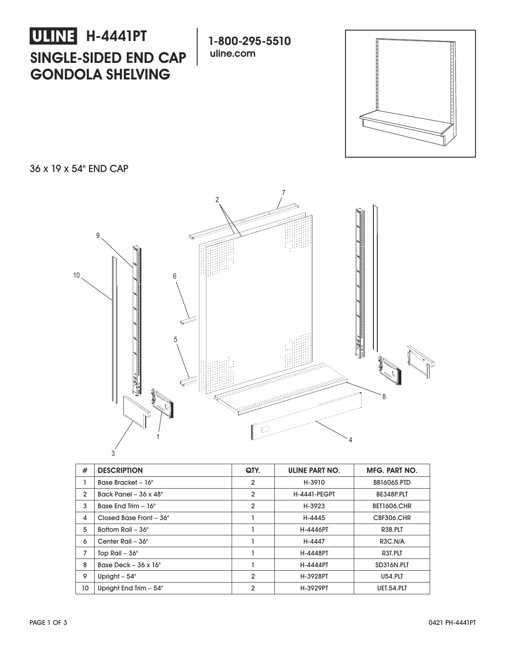**SINGLE-SIDED END CAP GONDOLA SHELVING ULINE H-4441PT** 

**1-800-295-5510 uline.com**



## 36 x 19 x 54" END CAP



| #              | <b>DESCRIPTION</b>           | QTY.           | <b>ULINE PART NO.</b> | <b>MFG. PART NO.</b> |
|----------------|------------------------------|----------------|-----------------------|----------------------|
|                | Base Bracket - 16"           | $\overline{2}$ | H-3910                | <b>BB1606S.PTD</b>   |
| $\overline{2}$ | Back Panel $-36 \times 48$ " | $\overline{2}$ | <b>H-4441-PEGPT</b>   | BE348P.PLT           |
| 3              | Base End Trim - 16"          | $\overline{2}$ | H-3923                | <b>BET1606.CHR</b>   |
| 4              | Closed Base Front - 36"      |                | H-4445                | <b>CBF306.CHR</b>    |
| 5              | Bottom Rail - 36"            |                | H-4446PT              | R3B.PLT              |
| 6              | Center Rail - 36"            |                | H-4447                | R3C.N/A              |
| 7              | Top Rail $-36"$              |                | H-4448PT              | R3T.PLT              |
| 8              | Base Deck $-36 \times 16$ "  |                | <b>H-4444PT</b>       | SD316N.PLT           |
| 9              | Upright $-54$ "              | $\overline{2}$ | H-3928PT              | <b>U54.PLT</b>       |
| 10             | Upright End Trim - 54"       | $\overline{2}$ | H-3929PT              | UET.54.PLT           |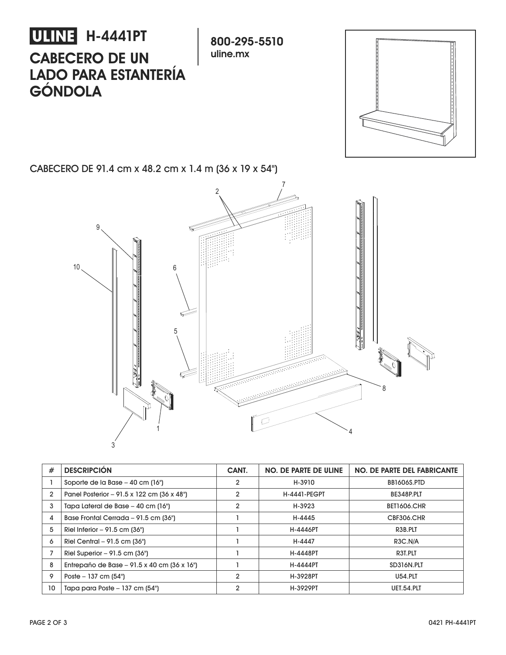

CABECERO DE 91.4 cm x 48.2 cm x 1.4 m (36 x 19 x 54")



| #  | <b>DESCRIPCIÓN</b>                                    | CANT.          | <b>NO. DE PARTE DE ULINE</b> | <b>NO. DE PARTE DEL FABRICANTE</b> |
|----|-------------------------------------------------------|----------------|------------------------------|------------------------------------|
|    | Soporte de la Base - 40 cm (16")                      | $\overline{2}$ | H-3910                       | <b>BB1606S.PTD</b>                 |
| 2  | Panel Posterior – 91.5 x 122 cm (36 x 48")            | $\overline{2}$ | <b>H-4441-PEGPT</b>          | BE348P.PLT                         |
| 3  | Tapa Lateral de Base - 40 cm (16")                    | $\overline{2}$ | H-3923                       | <b>BET1606.CHR</b>                 |
| 4  | Base Frontal Cerrada - 91.5 cm (36")                  |                | H-4445                       | <b>CBF306.CHR</b>                  |
| 5  | Riel Inferior $-91.5$ cm (36")                        |                | H-4446PT                     | R3B.PLT                            |
| 6  | Riel Central $-91.5$ cm (36")                         |                | H-4447                       | R3C.N/A                            |
|    | Riel Superior $-91.5$ cm $(36")$                      |                | H-4448PT                     | R3T.PLT                            |
| 8  | Entrepaño de Base – 91.5 x 40 cm $(36 \times 16^{n})$ |                | H-4444PT                     | SD316N.PLT                         |
| 9  | Poste $-137$ cm $(54")$                               | $\mathbf{2}$   | H-3928PT                     | <b>U54.PLT</b>                     |
| 10 | Tapa para Poste - 137 cm (54")                        | $\overline{2}$ | H-3929PT                     | <b>UET.54.PLT</b>                  |